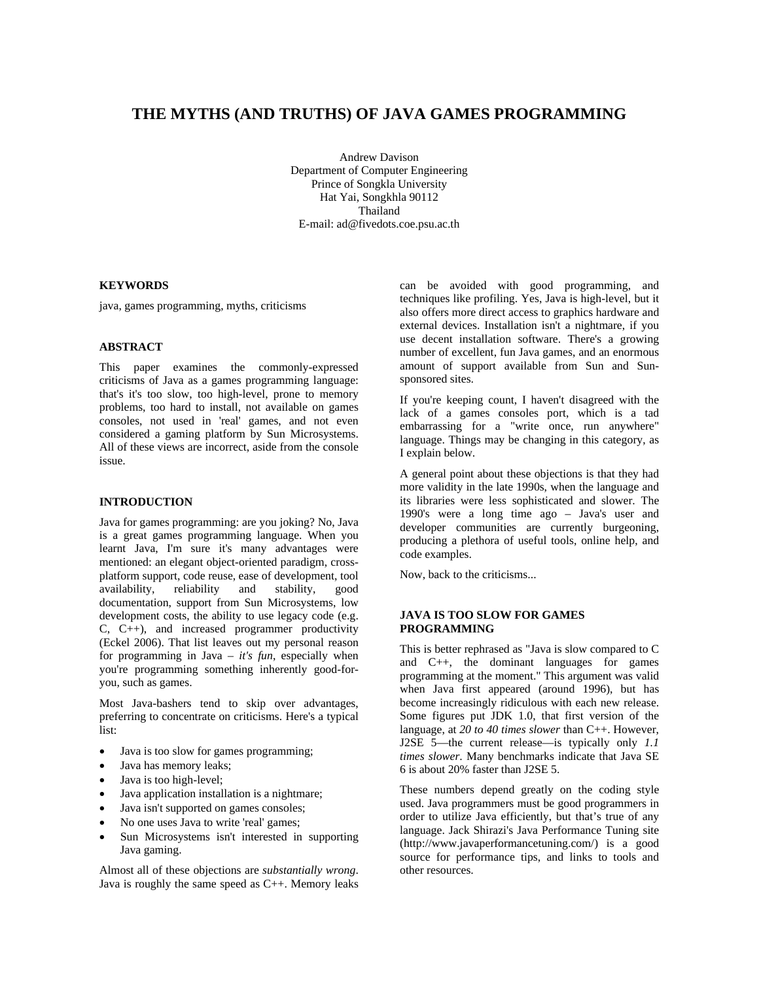# **THE MYTHS (AND TRUTHS) OF JAVA GAMES PROGRAMMING**

Andrew Davison Department of Computer Engineering Prince of Songkla University Hat Yai, Songkhla 90112 Thailand E-mail: ad@fivedots.coe.psu.ac.th

### **KEYWORDS**

java, games programming, myths, criticisms

### **ABSTRACT**

This paper examines the commonly-expressed criticisms of Java as a games programming language: that's it's too slow, too high-level, prone to memory problems, too hard to install, not available on games consoles, not used in 'real' games, and not even considered a gaming platform by Sun Microsystems. All of these views are incorrect, aside from the console issue.

## **INTRODUCTION**

Java for games programming: are you joking? No, Java is a great games programming language. When you learnt Java, I'm sure it's many advantages were mentioned: an elegant object-oriented paradigm, crossplatform support, code reuse, ease of development, tool availability, reliability and stability, good documentation, support from Sun Microsystems, low development costs, the ability to use legacy code (e.g.  $C, \overrightarrow{C^{++}}$ , and increased programmer productivity (Eckel 2006). That list leaves out my personal reason for programming in Java – *it's fun*, especially when you're programming something inherently good-foryou, such as games.

Most Java-bashers tend to skip over advantages, preferring to concentrate on criticisms. Here's a typical list:

- Java is too slow for games programming;
- Java has memory leaks;
- Java is too high-level;
- Java application installation is a nightmare;
- Java isn't supported on games consoles;
- No one uses Java to write 'real' games;
- Sun Microsystems isn't interested in supporting Java gaming.

Almost all of these objections are *substantially wrong*. Java is roughly the same speed as C++. Memory leaks can be avoided with good programming, and techniques like profiling. Yes, Java is high-level, but it also offers more direct access to graphics hardware and external devices. Installation isn't a nightmare, if you use decent installation software. There's a growing number of excellent, fun Java games, and an enormous amount of support available from Sun and Sunsponsored sites.

If you're keeping count, I haven't disagreed with the lack of a games consoles port, which is a tad embarrassing for a "write once, run anywhere" language. Things may be changing in this category, as I explain below.

A general point about these objections is that they had more validity in the late 1990s, when the language and its libraries were less sophisticated and slower. The 1990's were a long time ago – Java's user and developer communities are currently burgeoning, producing a plethora of useful tools, online help, and code examples.

Now, back to the criticisms...

### **JAVA IS TOO SLOW FOR GAMES PROGRAMMING**

This is better rephrased as "Java is slow compared to C and C++, the dominant languages for games programming at the moment." This argument was valid when Java first appeared (around 1996), but has become increasingly ridiculous with each new release. Some figures put JDK 1.0, that first version of the language, at *20 to 40 times slower* than C++. However, J2SE 5—the current release—is typically only *1.1 times slower*. Many benchmarks indicate that Java SE 6 is about 20% faster than J2SE 5.

These numbers depend greatly on the coding style used. Java programmers must be good programmers in order to utilize Java efficiently, but that's true of any language. Jack Shirazi's Java Performance Tuning site (http://www.javaperformancetuning.com/) is a good source for performance tips, and links to tools and other resources.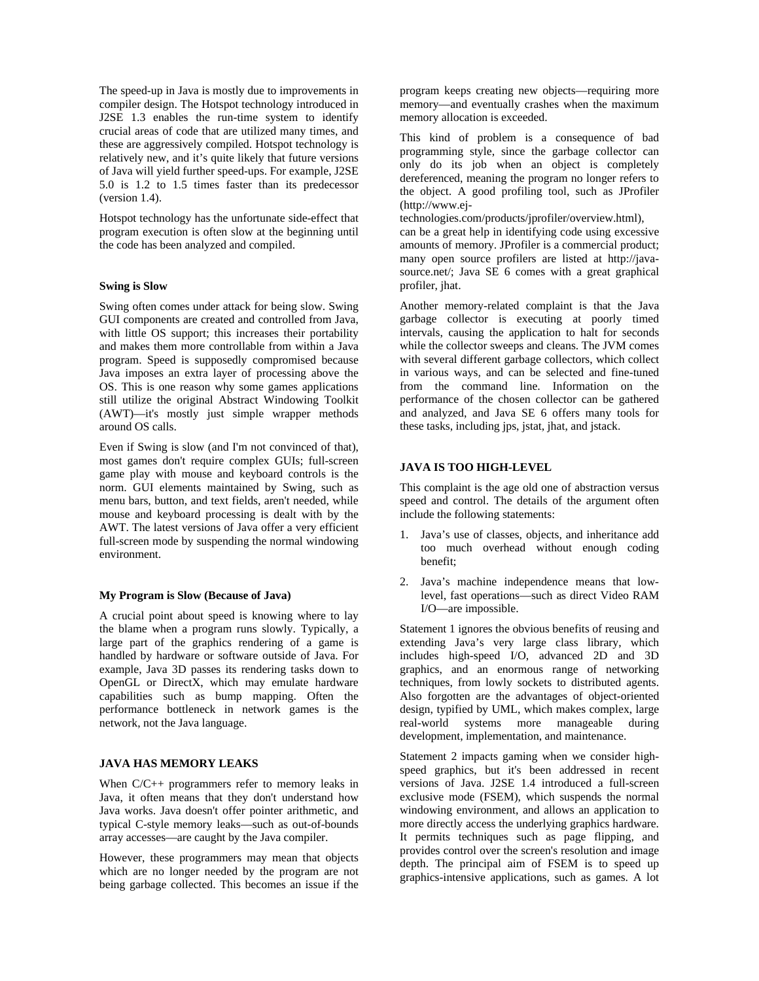The speed-up in Java is mostly due to improvements in compiler design. The Hotspot technology introduced in J2SE 1.3 enables the run-time system to identify crucial areas of code that are utilized many times, and these are aggressively compiled. Hotspot technology is relatively new, and it's quite likely that future versions of Java will yield further speed-ups. For example, J2SE 5.0 is 1.2 to 1.5 times faster than its predecessor (version 1.4).

Hotspot technology has the unfortunate side-effect that program execution is often slow at the beginning until the code has been analyzed and compiled.

## **Swing is Slow**

Swing often comes under attack for being slow. Swing GUI components are created and controlled from Java, with little OS support; this increases their portability and makes them more controllable from within a Java program. Speed is supposedly compromised because Java imposes an extra layer of processing above the OS. This is one reason why some games applications still utilize the original Abstract Windowing Toolkit (AWT)—it's mostly just simple wrapper methods around OS calls.

Even if Swing is slow (and I'm not convinced of that), most games don't require complex GUIs; full-screen game play with mouse and keyboard controls is the norm. GUI elements maintained by Swing, such as menu bars, button, and text fields, aren't needed, while mouse and keyboard processing is dealt with by the AWT. The latest versions of Java offer a very efficient full-screen mode by suspending the normal windowing environment.

### **My Program is Slow (Because of Java)**

A crucial point about speed is knowing where to lay the blame when a program runs slowly. Typically, a large part of the graphics rendering of a game is handled by hardware or software outside of Java. For example, Java 3D passes its rendering tasks down to OpenGL or DirectX, which may emulate hardware capabilities such as bump mapping. Often the performance bottleneck in network games is the network, not the Java language.

## **JAVA HAS MEMORY LEAKS**

When  $C/C++$  programmers refer to memory leaks in Java, it often means that they don't understand how Java works. Java doesn't offer pointer arithmetic, and typical C-style memory leaks—such as out-of-bounds array accesses—are caught by the Java compiler.

However, these programmers may mean that objects which are no longer needed by the program are not being garbage collected. This becomes an issue if the program keeps creating new objects—requiring more memory—and eventually crashes when the maximum memory allocation is exceeded.

This kind of problem is a consequence of bad programming style, since the garbage collector can only do its job when an object is completely dereferenced, meaning the program no longer refers to the object. A good profiling tool, such as JProfiler (http://www.ej-

technologies.com/products/jprofiler/overview.html), can be a great help in identifying code using excessive amounts of memory. JProfiler is a commercial product; many open source profilers are listed at http://javasource.net/; Java SE 6 comes with a great graphical profiler, jhat.

Another memory-related complaint is that the Java garbage collector is executing at poorly timed intervals, causing the application to halt for seconds while the collector sweeps and cleans. The JVM comes with several different garbage collectors, which collect in various ways, and can be selected and fine-tuned from the command line. Information on the performance of the chosen collector can be gathered and analyzed, and Java SE 6 offers many tools for these tasks, including jps, jstat, jhat, and jstack.

# **JAVA IS TOO HIGH-LEVEL**

This complaint is the age old one of abstraction versus speed and control. The details of the argument often include the following statements:

- 1. Java's use of classes, objects, and inheritance add too much overhead without enough coding benefit;
- 2. Java's machine independence means that lowlevel, fast operations—such as direct Video RAM I/O—are impossible.

Statement 1 ignores the obvious benefits of reusing and extending Java's very large class library, which includes high-speed I/O, advanced 2D and 3D graphics, and an enormous range of networking techniques, from lowly sockets to distributed agents. Also forgotten are the advantages of object-oriented design, typified by UML, which makes complex, large real-world systems more manageable during development, implementation, and maintenance.

Statement 2 impacts gaming when we consider highspeed graphics, but it's been addressed in recent versions of Java. J2SE 1.4 introduced a full-screen exclusive mode (FSEM), which suspends the normal windowing environment, and allows an application to more directly access the underlying graphics hardware. It permits techniques such as page flipping, and provides control over the screen's resolution and image depth. The principal aim of FSEM is to speed up graphics-intensive applications, such as games. A lot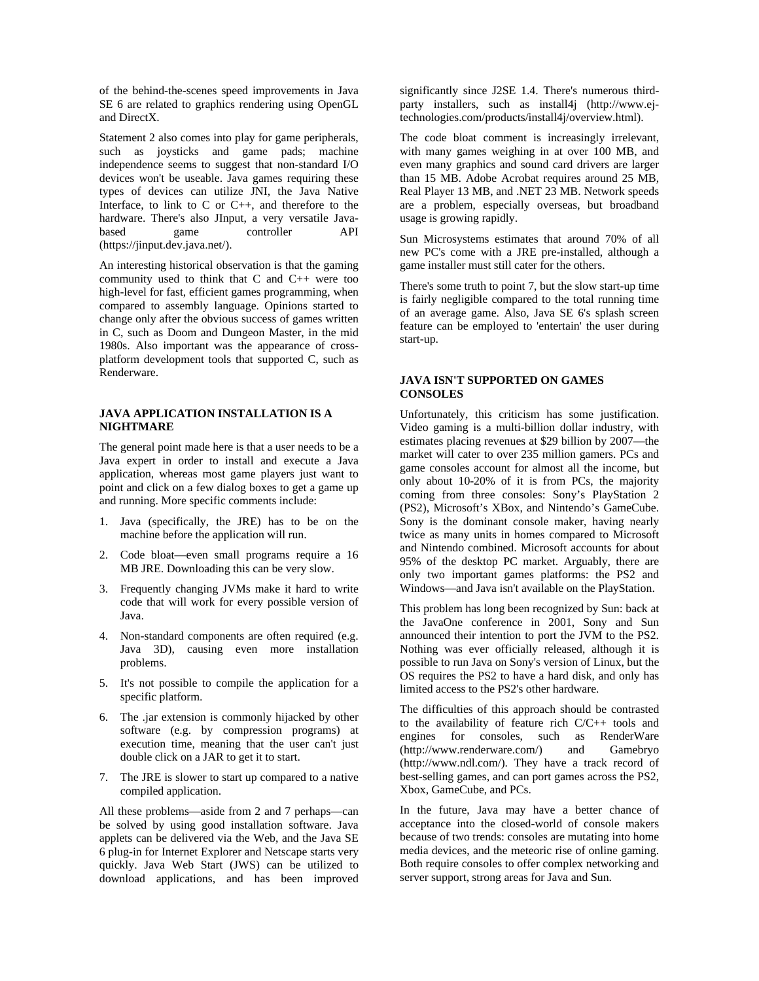of the behind-the-scenes speed improvements in Java SE 6 are related to graphics rendering using OpenGL and DirectX.

Statement 2 also comes into play for game peripherals, such as joysticks and game pads; machine independence seems to suggest that non-standard I/O devices won't be useable. Java games requiring these types of devices can utilize JNI, the Java Native Interface, to link to C or C++, and therefore to the hardware. There's also JInput, a very versatile Javabased game controller API (https://jinput.dev.java.net/).

An interesting historical observation is that the gaming community used to think that C and C++ were too high-level for fast, efficient games programming, when compared to assembly language. Opinions started to change only after the obvious success of games written in C, such as Doom and Dungeon Master, in the mid 1980s. Also important was the appearance of crossplatform development tools that supported C, such as Renderware.

### **JAVA APPLICATION INSTALLATION IS A NIGHTMARE**

The general point made here is that a user needs to be a Java expert in order to install and execute a Java application, whereas most game players just want to point and click on a few dialog boxes to get a game up and running. More specific comments include:

- 1. Java (specifically, the JRE) has to be on the machine before the application will run.
- 2. Code bloat—even small programs require a 16 MB JRE. Downloading this can be very slow.
- 3. Frequently changing JVMs make it hard to write code that will work for every possible version of Java.
- 4. Non-standard components are often required (e.g. Java 3D), causing even more installation problems.
- 5. It's not possible to compile the application for a specific platform.
- 6. The .jar extension is commonly hijacked by other software (e.g. by compression programs) at execution time, meaning that the user can't just double click on a JAR to get it to start.
- 7. The JRE is slower to start up compared to a native compiled application.

All these problems—aside from 2 and 7 perhaps—can be solved by using good installation software. Java applets can be delivered via the Web, and the Java SE 6 plug-in for Internet Explorer and Netscape starts very quickly. Java Web Start (JWS) can be utilized to download applications, and has been improved significantly since J2SE 1.4. There's numerous thirdparty installers, such as install4j (http://www.ejtechnologies.com/products/install4j/overview.html).

The code bloat comment is increasingly irrelevant, with many games weighing in at over 100 MB, and even many graphics and sound card drivers are larger than 15 MB. Adobe Acrobat requires around 25 MB, Real Player 13 MB, and .NET 23 MB. Network speeds are a problem, especially overseas, but broadband usage is growing rapidly.

Sun Microsystems estimates that around 70% of all new PC's come with a JRE pre-installed, although a game installer must still cater for the others.

There's some truth to point 7, but the slow start-up time is fairly negligible compared to the total running time of an average game. Also, Java SE 6's splash screen feature can be employed to 'entertain' the user during start-up.

### **JAVA ISN'T SUPPORTED ON GAMES CONSOLES**

Unfortunately, this criticism has some justification. Video gaming is a multi-billion dollar industry, with estimates placing revenues at \$29 billion by 2007—the market will cater to over 235 million gamers. PCs and game consoles account for almost all the income, but only about 10-20% of it is from PCs, the majority coming from three consoles: Sony's PlayStation 2 (PS2), Microsoft's XBox, and Nintendo's GameCube. Sony is the dominant console maker, having nearly twice as many units in homes compared to Microsoft and Nintendo combined. Microsoft accounts for about 95% of the desktop PC market. Arguably, there are only two important games platforms: the PS2 and Windows—and Java isn't available on the PlayStation.

This problem has long been recognized by Sun: back at the JavaOne conference in 2001, Sony and Sun announced their intention to port the JVM to the PS2. Nothing was ever officially released, although it is possible to run Java on Sony's version of Linux, but the OS requires the PS2 to have a hard disk, and only has limited access to the PS2's other hardware.

The difficulties of this approach should be contrasted to the availability of feature rich C/C++ tools and engines for consoles, such as RenderWare (http://www.renderware.com/) and Gamebryo (http://www.ndl.com/). They have a track record of best-selling games, and can port games across the PS2, Xbox, GameCube, and PCs.

In the future, Java may have a better chance of acceptance into the closed-world of console makers because of two trends: consoles are mutating into home media devices, and the meteoric rise of online gaming. Both require consoles to offer complex networking and server support, strong areas for Java and Sun.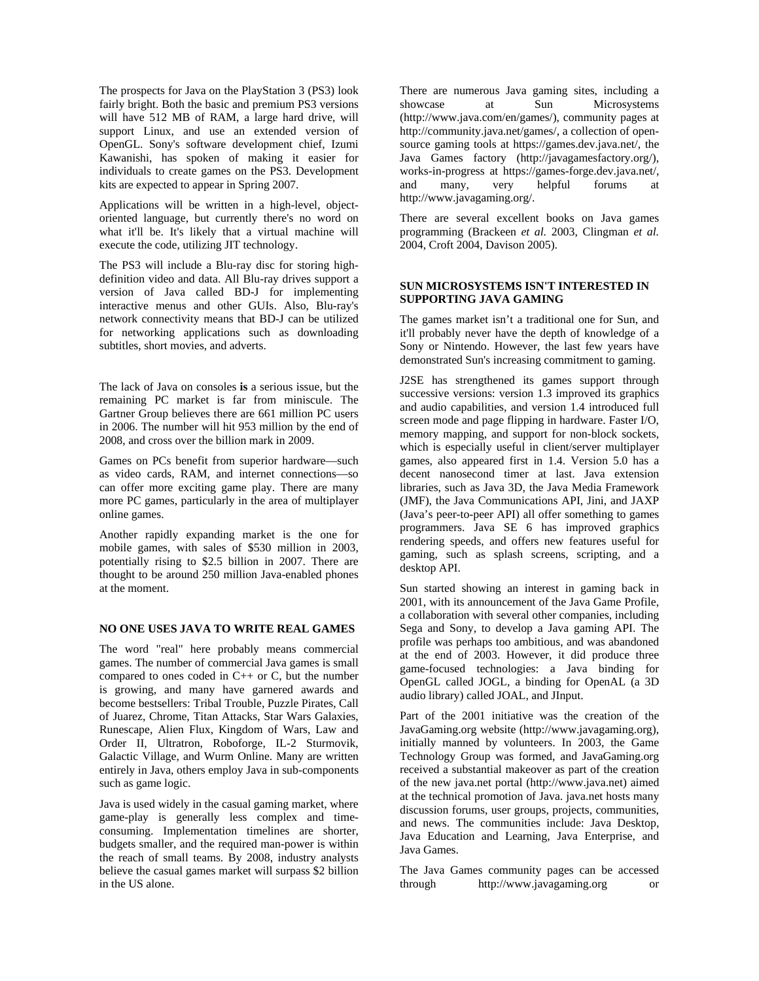The prospects for Java on the PlayStation 3 (PS3) look fairly bright. Both the basic and premium PS3 versions will have 512 MB of RAM, a large hard drive, will support Linux, and use an extended version of OpenGL. Sony's software development chief, Izumi Kawanishi, has spoken of making it easier for individuals to create games on the PS3. Development kits are expected to appear in Spring 2007.

Applications will be written in a high-level, objectoriented language, but currently there's no word on what it'll be. It's likely that a virtual machine will execute the code, utilizing JIT technology.

The PS3 will include a Blu-ray disc for storing highdefinition video and data. All Blu-ray drives support a version of Java called BD-J for implementing interactive menus and other GUIs. Also, Blu-ray's network connectivity means that BD-J can be utilized for networking applications such as downloading subtitles, short movies, and adverts.

The lack of Java on consoles **is** a serious issue, but the remaining PC market is far from miniscule. The Gartner Group believes there are 661 million PC users in 2006. The number will hit 953 million by the end of 2008, and cross over the billion mark in 2009.

Games on PCs benefit from superior hardware—such as video cards, RAM, and internet connections—so can offer more exciting game play. There are many more PC games, particularly in the area of multiplayer online games.

Another rapidly expanding market is the one for mobile games, with sales of \$530 million in 2003, potentially rising to \$2.5 billion in 2007. There are thought to be around 250 million Java-enabled phones at the moment.

### **NO ONE USES JAVA TO WRITE REAL GAMES**

The word "real" here probably means commercial games. The number of commercial Java games is small compared to ones coded in  $C_{++}$  or  $C$ , but the number is growing, and many have garnered awards and become bestsellers: Tribal Trouble, Puzzle Pirates, Call of Juarez, Chrome, Titan Attacks, Star Wars Galaxies, Runescape, Alien Flux, Kingdom of Wars, Law and Order II, Ultratron, Roboforge, IL-2 Sturmovik, Galactic Village, and Wurm Online. Many are written entirely in Java, others employ Java in sub-components such as game logic.

Java is used widely in the casual gaming market, where game-play is generally less complex and timeconsuming. Implementation timelines are shorter, budgets smaller, and the required man-power is within the reach of small teams. By 2008, industry analysts believe the casual games market will surpass \$2 billion in the US alone.

There are numerous Java gaming sites, including a showcase at Sun Microsystems (http://www.java.com/en/games/), community pages at http://community.java.net/games/, a collection of opensource gaming tools at https://games.dev.java.net/, the Java Games factory (http://javagamesfactory.org/), works-in-progress at https://games-forge.dev.java.net/, and many, very helpful forums at http://www.javagaming.org/.

There are several excellent books on Java games programming (Brackeen *et al.* 2003, Clingman *et al.* 2004, Croft 2004, Davison 2005).

# **SUN MICROSYSTEMS ISN'T INTERESTED IN SUPPORTING JAVA GAMING**

The games market isn't a traditional one for Sun, and it'll probably never have the depth of knowledge of a Sony or Nintendo. However, the last few years have demonstrated Sun's increasing commitment to gaming.

J2SE has strengthened its games support through successive versions: version 1.3 improved its graphics and audio capabilities, and version 1.4 introduced full screen mode and page flipping in hardware. Faster I/O, memory mapping, and support for non-block sockets, which is especially useful in client/server multiplayer games, also appeared first in 1.4. Version 5.0 has a decent nanosecond timer at last. Java extension libraries, such as Java 3D, the Java Media Framework (JMF), the Java Communications API, Jini, and JAXP (Java's peer-to-peer API) all offer something to games programmers. Java SE 6 has improved graphics rendering speeds, and offers new features useful for gaming, such as splash screens, scripting, and a desktop API.

Sun started showing an interest in gaming back in 2001, with its announcement of the Java Game Profile, a collaboration with several other companies, including Sega and Sony, to develop a Java gaming API. The profile was perhaps too ambitious, and was abandoned at the end of 2003. However, it did produce three game-focused technologies: a Java binding for OpenGL called JOGL, a binding for OpenAL (a 3D audio library) called JOAL, and JInput.

Part of the 2001 initiative was the creation of the JavaGaming.org website (http://www.javagaming.org), initially manned by volunteers. In 2003, the Game Technology Group was formed, and JavaGaming.org received a substantial makeover as part of the creation of the new java.net portal (http://www.java.net) aimed at the technical promotion of Java. java.net hosts many discussion forums, user groups, projects, communities, and news. The communities include: Java Desktop, Java Education and Learning, Java Enterprise, and Java Games.

The Java Games community pages can be accessed through http://www.javagaming.org or